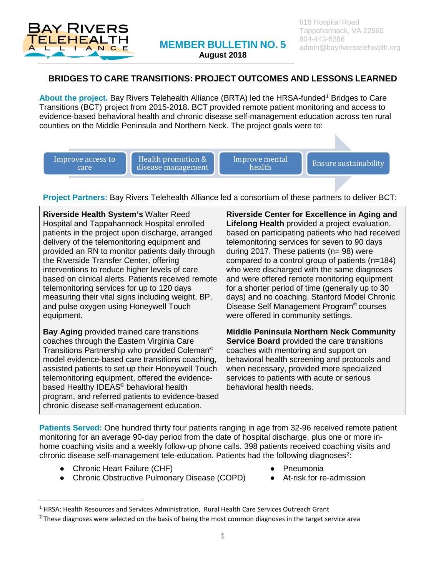

**August 2018**

## **BRIDGES TO CARE TRANSITIONS: PROJECT OUTCOMES AND LESSONS LEARNED**

About the project. Bay Rivers Telehealth Alliance (BRTA) led the HRSA-funded<sup>[1](#page-0-0)</sup> Bridges to Care Transitions (BCT) project from 2015-2018. BCT provided remote patient monitoring and access to evidence-based behavioral health and chronic disease self-management education across ten rural counties on the Middle Peninsula and Northern Neck. The project goals were to:

Improve access to care

Health promotion & disease management Improve mental<br>health

**Ensure sustainability** 

**Project Partners:** Bay Rivers Telehealth Alliance led a consortium of these partners to deliver BCT:

**Riverside Health System's** Walter Reed Hospital and Tappahannock Hospital enrolled patients in the project upon discharge, arranged delivery of the telemonitoring equipment and provided an RN to monitor patients daily through the Riverside Transfer Center, offering interventions to reduce higher levels of care based on clinical alerts. Patients received remote telemonitoring services for up to 120 days measuring their vital signs including weight, BP, and pulse oxygen using Honeywell Touch equipment.

**Bay Aging** provided trained care transitions coaches through the Eastern Virginia Care Transitions Partnership who provided Coleman© model evidence-based care transitions coaching, assisted patients to set up their Honeywell Touch telemonitoring equipment, offered the evidencebased Healthy IDEAS<sup>©</sup> behavioral health program, and referred patients to evidence-based chronic disease self-management education.

**Riverside Center for Excellence in Aging and Lifelong Health** provided a project evaluation, based on participating patients who had received telemonitoring services for seven to 90 days during 2017. These patients (n= 98) were compared to a control group of patients (n=184) who were discharged with the same diagnoses and were offered remote monitoring equipment for a shorter period of time (generally up to 30 days) and no coaching. Stanford Model Chronic Disease Self Management Program© courses were offered in community settings.

**Middle Peninsula Northern Neck Community Service Board** provided the care transitions coaches with mentoring and support on behavioral health screening and protocols and when necessary, provided more specialized services to patients with acute or serious behavioral health needs.

**Patients Served:** One hundred thirty four patients ranging in age from 32-96 received remote patient monitoring for an average 90-day period from the date of hospital discharge, plus one or more inhome coaching visits and a weekly follow-up phone calls. 398 patients received coaching visits and chronic disease self-management tele-education. Patients had the following diagnoses<sup>[2](#page-0-1)</sup>:

- Chronic Heart Failure (CHF)
- Chronic Obstructive Pulmonary Disease (COPD)
- **Pneumonia**
- At-risk for re-admission

<span id="page-0-0"></span><sup>&</sup>lt;sup>1</sup> HRSA: Health Resources and Services Administration, Rural Health Care Services Outreach Grant

<span id="page-0-1"></span><sup>&</sup>lt;sup>2</sup> These diagnoses were selected on the basis of being the most common diagnoses in the target service area